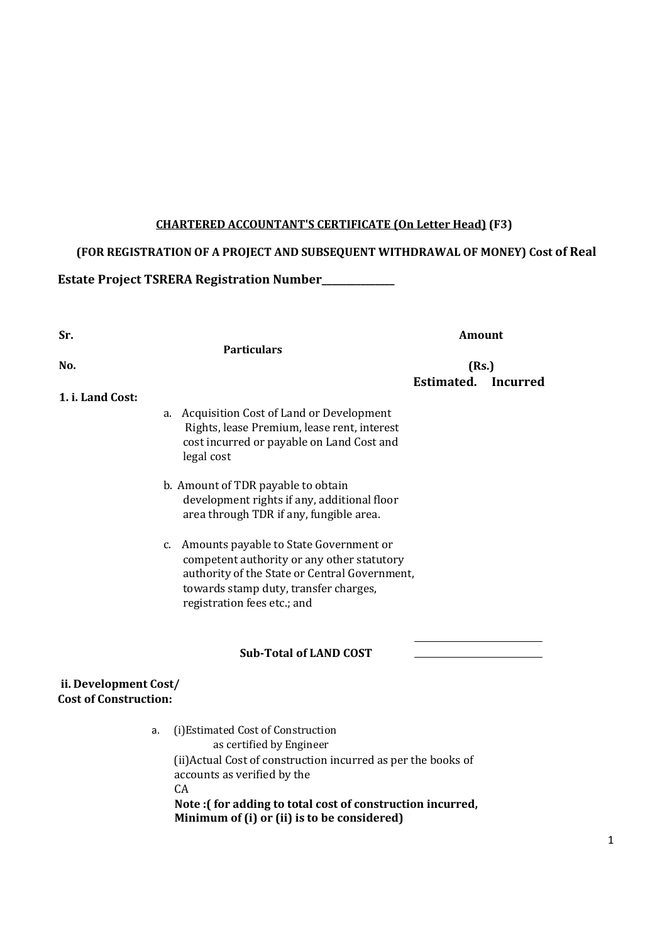## CHARTERED ACCOUNTANT'S CERTIFICATE (On Letter Head) (F3)

# (FOR REGISTRATION OF A PROJECT AND SUBSEQUENT WITHDRAWAL OF MONEY) Cost of Real

Estate Project TSRERA Registration Number\_\_\_\_\_\_\_\_\_\_\_\_\_\_\_

| Sr.                                                   |                                                                                                                                                                                                                                   | <b>Amount</b><br>(Rs.) |                 |
|-------------------------------------------------------|-----------------------------------------------------------------------------------------------------------------------------------------------------------------------------------------------------------------------------------|------------------------|-----------------|
| No.                                                   | <b>Particulars</b>                                                                                                                                                                                                                |                        |                 |
| 1. i. Land Cost:                                      |                                                                                                                                                                                                                                   | Estimated.             | <b>Incurred</b> |
|                                                       | a. Acquisition Cost of Land or Development<br>Rights, lease Premium, lease rent, interest<br>cost incurred or payable on Land Cost and<br>legal cost                                                                              |                        |                 |
|                                                       | b. Amount of TDR payable to obtain<br>development rights if any, additional floor<br>area through TDR if any, fungible area.                                                                                                      |                        |                 |
|                                                       | c. Amounts payable to State Government or<br>competent authority or any other statutory<br>authority of the State or Central Government,<br>towards stamp duty, transfer charges,<br>registration fees etc.; and                  |                        |                 |
|                                                       | <b>Sub-Total of LAND COST</b>                                                                                                                                                                                                     |                        |                 |
| ii. Development Cost/<br><b>Cost of Construction:</b> |                                                                                                                                                                                                                                   |                        |                 |
| a.                                                    | (i) Estimated Cost of Construction<br>as certified by Engineer<br>(ii) Actual Cost of construction incurred as per the books of<br>accounts as verified by the<br>CA<br>Note: (for adding to total cost of construction incurred, |                        |                 |

Minimum of (i) or (ii) is to be considered)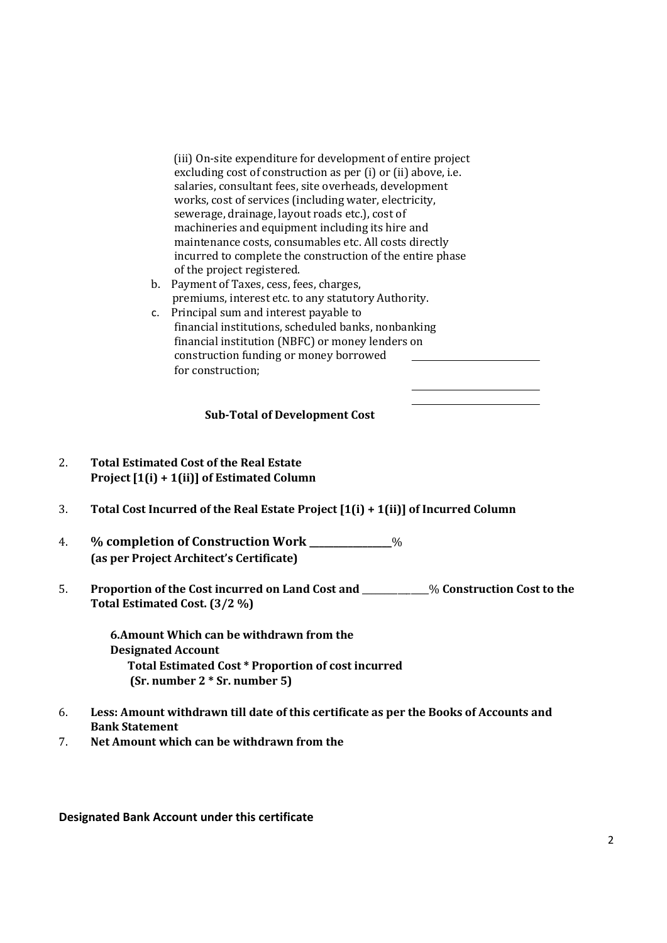(iii) On-site expenditure for development of entire project excluding cost of construction as per (i) or (ii) above, i.e. salaries, consultant fees, site overheads, development works, cost of services (including water, electricity, sewerage, drainage, layout roads etc.), cost of machineries and equipment including its hire and maintenance costs, consumables etc. All costs directly incurred to complete the construction of the entire phase of the project registered.

- b. Payment of Taxes, cess, fees, charges, premiums, interest etc. to any statutory Authority.
- c. Principal sum and interest payable to financial institutions, scheduled banks, nonbanking financial institution (NBFC) or money lenders on construction funding or money borrowed for construction;

#### Sub-Total of Development Cost

- 2. Total Estimated Cost of the Real Estate Project [1(i) + 1(ii)] of Estimated Column
- 3. Total Cost Incurred of the Real Estate Project [1(i) + 1(ii)] of Incurred Column
- 4. % completion of Construction Work \_\_\_\_\_\_\_\_\_\_\_\_\_\_\_\_\_% (as per Project Architect's Certificate)
- 5. Proportion of the Cost incurred on Land Cost and \_\_\_\_\_\_\_\_\_\_\_\_\_\_\_% Construction Cost to the Total Estimated Cost. (3/2 %)

6.Amount Which can be withdrawn from the Designated Account Total Estimated Cost \* Proportion of cost incurred (Sr. number 2 \* Sr. number 5)

- 6. Less: Amount withdrawn till date of this certificate as per the Books of Accounts and Bank Statement
- 7. Net Amount which can be withdrawn from the

Designated Bank Account under this certificate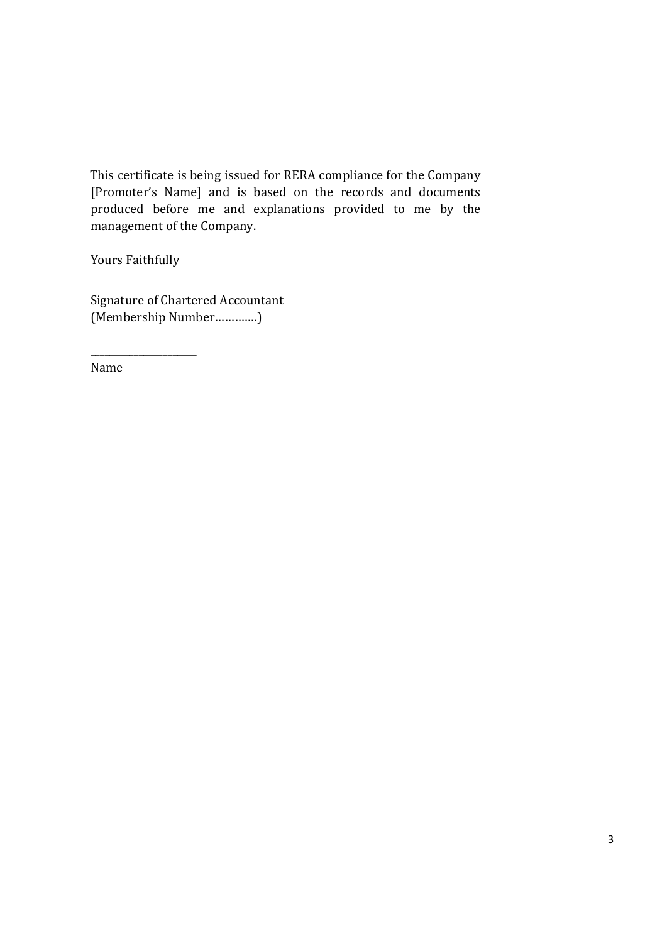This certificate is being issued for RERA compliance for the Company [Promoter's Name] and is based on the records and documents produced before me and explanations provided to me by the management of the Company.

Yours Faithfully

\_\_\_\_\_\_\_\_\_\_\_\_\_\_\_\_\_\_\_\_\_\_

Signature of Chartered Accountant (Membership Number………….)

Name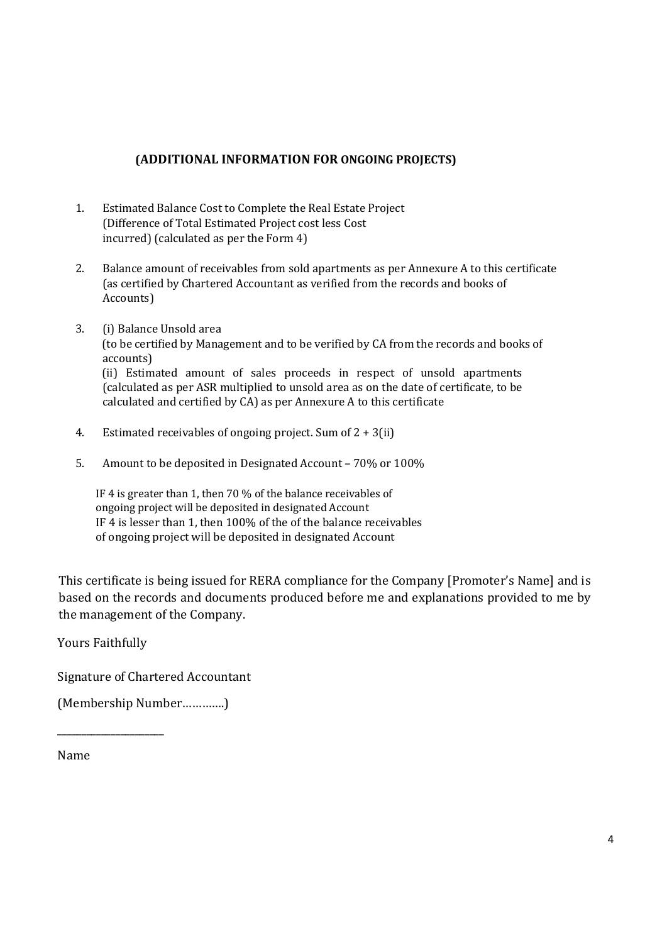### (ADDITIONAL INFORMATION FOR ONGOING PROJECTS)

- 1. Estimated Balance Cost to Complete the Real Estate Project (Difference of Total Estimated Project cost less Cost incurred) (calculated as per the Form 4)
- 2. Balance amount of receivables from sold apartments as per Annexure A to this certificate (as certified by Chartered Accountant as verified from the records and books of Accounts)
- 3. (i) Balance Unsold area (to be certified by Management and to be verified by CA from the records and books of accounts) (ii) Estimated amount of sales proceeds in respect of unsold apartments (calculated as per ASR multiplied to unsold area as on the date of certificate, to be

calculated and certified by CA) as per Annexure A to this certificate

- 4. Estimated receivables of ongoing project. Sum of  $2 + 3$ (ii)
- 5. Amount to be deposited in Designated Account 70% or 100%

IF 4 is greater than 1, then 70 % of the balance receivables of ongoing project will be deposited in designated Account IF 4 is lesser than 1, then 100% of the of the balance receivables of ongoing project will be deposited in designated Account

This certificate is being issued for RERA compliance for the Company [Promoter's Name] and is based on the records and documents produced before me and explanations provided to me by the management of the Company.

Yours Faithfully

\_\_\_\_\_\_\_\_\_\_\_\_\_\_\_\_\_\_\_\_\_\_

Signature of Chartered Accountant

(Membership Number………….)

#### Name